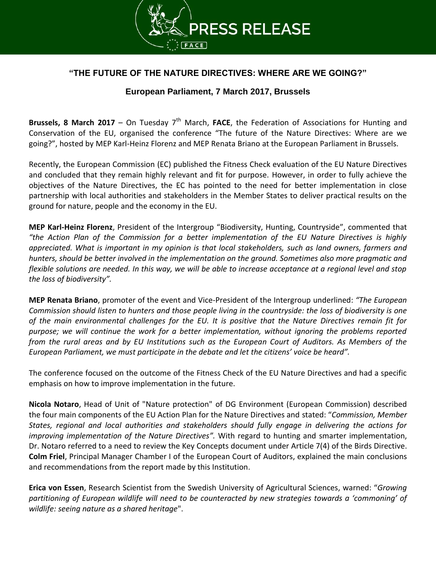

## **"THE FUTURE OF THE NATURE DIRECTIVES: WHERE ARE WE GOING?"**

## **European Parliament, 7 March 2017, Brussels**

**Brussels, 8 March 2017** – On Tuesday  $7<sup>th</sup>$  March, **FACE**, the Federation of Associations for Hunting and Conservation of the EU, organised the conference "The future of the Nature Directives: Where are we going?", hosted by MEP Karl-Heinz Florenz and MEP Renata Briano at the European Parliament in Brussels.

Recently, the European Commission (EC) published the Fitness Check evaluation of the EU Nature Directives and concluded that they remain highly relevant and fit for purpose. However, in order to fully achieve the objectives of the Nature Directives, the EC has pointed to the need for better implementation in close partnership with local authorities and stakeholders in the Member States to deliver practical results on the ground for nature, people and the economy in the EU.

**MEP Karl-Heinz Florenz**, President of the Intergroup "Biodiversity, Hunting, Countryside", commented that *"the Action Plan of the Commission for a better implementation of the EU Nature Directives is highly appreciated. What is important in my opinion is that local stakeholders, such as land owners, farmers and hunters, should be better involved in the implementation on the ground. Sometimes also more pragmatic and flexible solutions are needed. In this way, we will be able to increase acceptance at a regional level and stop the loss of biodiversity".*

**MEP Renata Briano**, promoter of the event and Vice-President of the Intergroup underlined: *"The European Commission should listen to hunters and those people living in the countryside: the loss of biodiversity is one of the main environmental challenges for the EU. It is positive that the Nature Directives remain fit for purpose; we will continue the work for a better implementation, without ignoring the problems reported from the rural areas and by EU Institutions such as the European Court of Auditors. As Members of the European Parliament, we must participate in the debate and let the citizens' voice be heard".*

The conference focused on the outcome of the Fitness Check of the EU Nature Directives and had a specific emphasis on how to improve implementation in the future.

**Nicola Notaro**, Head of Unit of "Nature protection" of DG Environment (European Commission) described the four main components of the EU Action Plan for the Nature Directives and stated: "*Commission, Member States, regional and local authorities and stakeholders should fully engage in delivering the actions for improving implementation of the Nature Directives".* With regard to hunting and smarter implementation, Dr. Notaro referred to a need to review the Key Concepts document under Article 7(4) of the Birds Directive. **Colm Friel**, Principal Manager Chamber I of the European Court of Auditors, explained the main conclusions and recommendations from the report made by this Institution.

**Erica von Essen**, Research Scientist from the Swedish University of Agricultural Sciences, warned: "*Growing partitioning of European wildlife will need to be counteracted by new strategies towards a 'commoning' of wildlife: seeing nature as a shared heritage*".